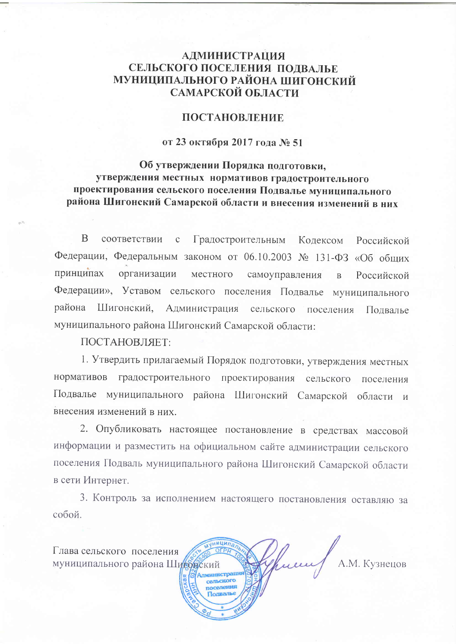# **АДМИНИСТРАЦИЯ** СЕЛЬСКОГО ПОСЕЛЕНИЯ ПОДВАЛЬЕ МУНИЦИПАЛЬНОГО РАЙОНА ШИГОНСКИЙ САМАРСКОЙ ОБЛАСТИ

### **ПОСТАНОВЛЕНИЕ**

### от 23 октября 2017 года № 51

# Об утверждении Порядка подготовки, утверждения местных нормативов градостроительного проектирования сельского поселения Подвалье муниципального района Шигонский Самарской области и внесения изменений в них

 $\overline{B}$ соответствии Градостроительным  $\mathcal{C}$ Кодексом Российской Федерации, Федеральным законом от 06.10.2003 № 131-ФЗ «Об общих принципах организации местного самоуправления  $\overline{B}$ Российской Федерации», Уставом сельского поселения Подвалье муниципального района Шигонский, Администрация сельского поселения Подвалье муниципального района Шигонский Самарской области:

### ПОСТАНОВЛЯЕТ:

1. Утвердить прилагаемый Порядок подготовки, утверждения местных нормативов градостроительного проектирования сельского поселения Подвалье муниципального района Шигонский Самарской области и внесения изменений в них.

2. Опубликовать настоящее постановление в средствах массовой информации и разместить на официальном сайте администрации сельского поселения Подваль муниципального района Шигонский Самарской области в сети Интернет.

3. Контроль за исполнением настоящего постановления оставляю за собой.

Глава сельского поселения муниципального района Шитонский



А.М. Кузнецов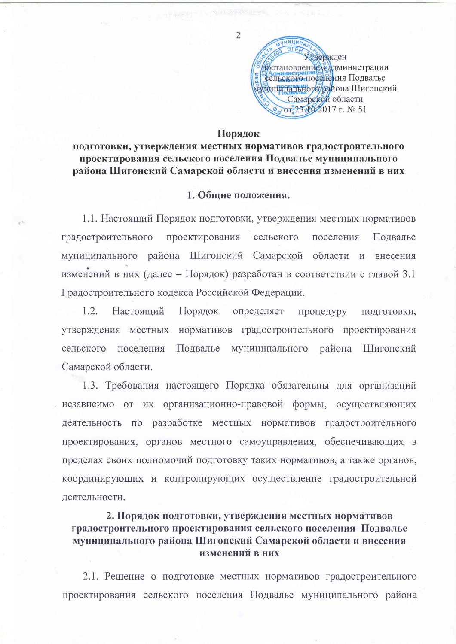ЛУНИЦИПА Фвержден фостановление радминистрации сельского поседения Подвалье Аниципального района Шигонский Самарской области от 23х№2017 г. № 51

#### Порядок

## подготовки, утверждения местных нормативов градостроительного проектирования сельского поселения Подвалье муниципального района Шигонский Самарской области и внесения изменений в них

#### 1. Обшие положения.

1.1. Настоящий Порядок подготовки, утверждения местных нормативов градостроительного проектирования сельского поселения Подвалье муниципального района Шигонский Самарской области и внесения изменений в них (далее - Порядок) разработан в соответствии с главой 3.1 Градостроительного кодекса Российской Федерации.

 $1.2.$ Настояший Порядок определяет процедуру подготовки, утверждения местных нормативов градостроительного проектирования сельского поселения Подвалье муниципального района Шигонский Самарской области.

1.3. Требования настоящего Порядка обязательны для организаций независимо от их организационно-правовой формы, осуществляющих деятельность по разработке местных нормативов градостроительного проектирования, органов местного самоуправления, обеспечивающих в пределах своих полномочий подготовку таких нормативов, а также органов, координирующих и контролирующих осуществление градостроительной деятельности.

# 2. Порядок подготовки, утверждения местных нормативов градостроительного проектирования сельского поселения Подвалье муниципального района Шигонский Самарской области и внесения изменений в них

2.1. Решение о подготовке местных нормативов градостроительного проектирования сельского поселения Подвалье муниципального района

 $\overline{2}$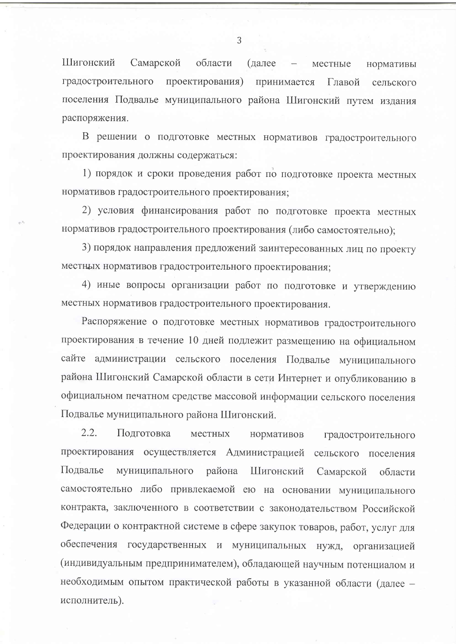Шигонский Самарской области (далее местные нормативы градостроительного проектирования) принимается Главой сельского поселения Подвалье муниципального района Шигонский путем издания распоряжения.

В решении о подготовке местных нормативов градостроительного проектирования должны содержаться:

1) порядок и сроки проведения работ по подготовке проекта местных нормативов градостроительного проектирования;

2) условия финансирования работ по подготовке проекта местных нормативов градостроительного проектирования (либо самостоятельно);

3) порядок направления предложений заинтересованных лиц по проекту местных нормативов градостроительного проектирования;

4) иные вопросы организации работ по подготовке и утверждению местных нормативов градостроительного проектирования.

Распоряжение о подготовке местных нормативов градостроительного проектирования в течение 10 дней подлежит размещению на официальном сайте администрации сельского поселения Подвалье муниципального района Шигонский Самарской области в сети Интернет и опубликованию в официальном печатном средстве массовой информации сельского поселения Подвалье муниципального района Шигонский.

 $2.2.$ Подготовка местных нормативов градостроительного проектирования осуществляется Администрацией сельского поселения Подвалье муниципального района Шигонский Самарской области самостоятельно либо привлекаемой ею на основании муниципального контракта, заключенного в соответствии с законодательством Российской Федерации о контрактной системе в сфере закупок товаров, работ, услуг для обеспечения государственных и муниципальных нужд, организацией (индивидуальным предпринимателем), обладающей научным потенциалом и необходимым опытом практической работы в указанной области (далее исполнитель).

3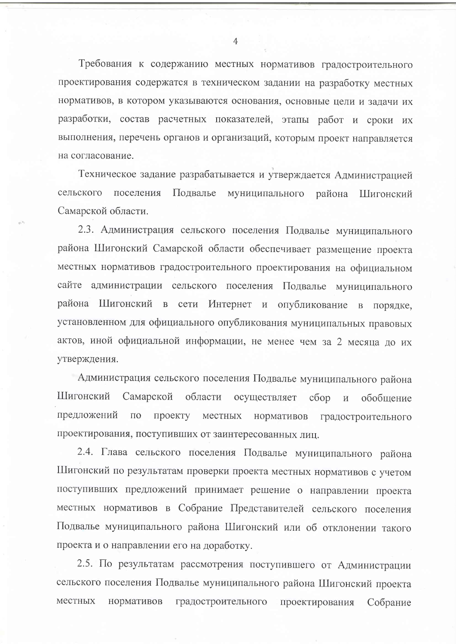Требования к содержанию местных нормативов градостроительного проектирования содержатся в техническом задании на разработку местных нормативов, в котором указываются основания, основные цели и задачи их разработки, состав расчетных показателей, этапы работ и сроки их выполнения, перечень органов и организаций, которым проект направляется на согласование.

Техническое задание разрабатывается и утверждается Администрацией сельского поселения Подвалье муниципального района Шигонский Самарской области.

2.3. Администрация сельского поселения Подвалье муниципального района Шигонский Самарской области обеспечивает размещение проекта местных нормативов градостроительного проектирования на официальном сайте администрации сельского поселения Подвалье муниципального района Шигонский в сети Интернет и опубликование в порядке, установленном для официального опубликования муниципальных правовых актов, иной официальной информации, не менее чем за 2 месяца до их утверждения.

Администрация сельского поселения Подвалье муниципального района Шигонский Самарской области осуществляет  $c6op$  $\,$  M обобщение предложений  $\Pi$ O проекту местных нормативов градостроительного проектирования, поступивших от заинтересованных лиц.

2.4. Глава сельского поселения Подвалье муниципального района Шигонский по результатам проверки проекта местных нормативов с учетом поступивших предложений принимает решение о направлении проекта местных нормативов в Собрание Представителей сельского поселения Подвалье муниципального района Шигонский или об отклонении такого проекта и о направлении его на доработку.

2.5. По результатам рассмотрения поступившего от Администрации сельского поселения Подвалье муниципального района Шигонский проекта местных нормативов градостроительного проектирования Собрание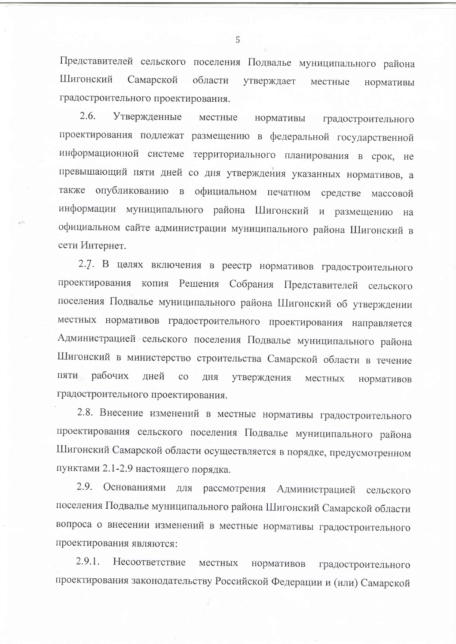Представителей сельского поселения Подвалье муниципального района Шигонский Самарской области утверждает местные нормативы градостроительного проектирования.

2.6. Утвержденные местные нормативы градостроительного проектирования подлежат размещению в федеральной государственной информационной системе территориального планирования в срок, не превышающий пяти дней со дня утверждения указанных нормативов, а также опубликованию в официальном печатном средстве массовой информации муниципального района Шигонский и размещению на официальном сайте администрации муниципального района Шигонский в сети Интернет.

2.7. В целях включения в реестр нормативов градостроительного проектирования копия Решения Собрания Представителей сельского поселения Подвалье муниципального района Шигонский об утверждении местных нормативов градостроительного проектирования направляется Администрацией сельского поселения Подвалье муниципального района Шигонский в министерство строительства Самарской области в течение пяти рабочих лней  $CO$ ДНЯ утверждения местных нормативов градостроительного проектирования.

2.8. Внесение изменений в местные нормативы градостроительного проектирования сельского поселения Подвалье муниципального района Шигонский Самарской области осуществляется в порядке, предусмотренном пунктами 2.1-2.9 настоящего порядка.

Основаниями для рассмотрения Администрацией сельского 2.9. поселения Подвалье муниципального района Шигонский Самарской области вопроса о внесении изменений в местные нормативы градостроительного проектирования являются:

2.9.1. Несоответствие местных нормативов градостроительного проектирования законодательству Российской Федерации и (или) Самарской

5